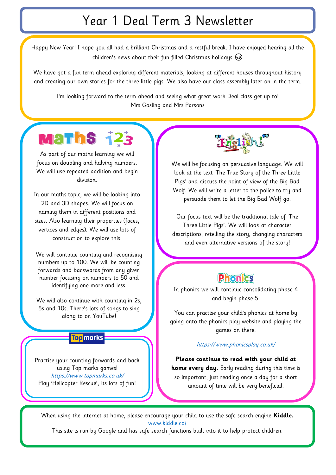# Year 1 Deal Term 3 Newsletter

Happy New Year! I hope you all had a brilliant Christmas and a restful break. I have enjoyed hearing all the children's news about their fun filled Christmas holidays

We have got a fun term ahead exploring different materials, looking at different houses throughout history and creating our own stories for the three little pigs. We also have our class assembly later on in the term.

I'm looking forward to the term ahead and seeing what great work Deal class get up to! Mrs Gosling and Mrs Parsons

# **Maths 123**

As part of our maths learning we will focus on doubling and halving numbers. We will use repeated addition and begin division.

In our maths topic, we will be looking into 2D and 3D shapes. We will focus on naming them in different positions and sizes. Also learning their properties (faces, vertices and edges). We will use lots of construction to explore this!

We will continue counting and recognising numbers up to 100. We will be counting forwards and backwards from any given number focusing on numbers to 50 and identifying one more and less.

We will also continue with counting in 2s, 5s and 10s. There's lots of songs to sing along to on YouTube!

## **Top** marks

Practise your counting forwards and back using Top marks games! <https://www.topmarks.co.uk/> Play 'Helicopter Rescue', its lots of fun!



We will be focusing on persuasive language. We will look at the text 'The True Story of the Three Little Pigs' and discuss the point of view of the Big Bad Wolf. We will write a letter to the police to try and persuade them to let the Big Bad Wolf go.

Our focus text will be the traditional tale of 'The Three Little Pigs'. We will look at character descriptions, retelling the story, changing characters and even alternative versions of the story!

# **Phonics**

In phonics we will continue consolidating phase 4 and begin phase 5.

You can practise your child's phonics at home by going onto the phonics play website and playing the games on there.

#### <https://www.phonicsplay.co.uk/>

**Please continue to read with your child at home every day.** Early reading during this time is so important, just reading once a day for a short amount of time will be very beneficial.

When using the internet at home, please encourage your child to use the safe search engine **Kiddle.**  [www.kiddle.co/](http://www.kiddle.co/)

This site is run by Google and has safe search functions built into it to help protect children.